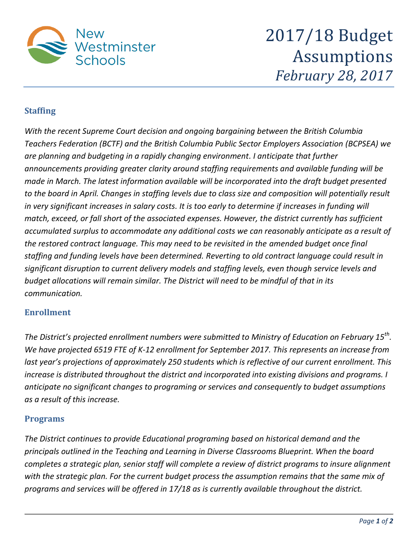

2017/18 Budget Assumptions *February 28, 2017*

## **Staffing**

*With the recent Supreme Court decision and ongoing bargaining between the British Columbia Teachers Federation (BCTF) and the British Columbia Public Sector Employers Association (BCPSEA) we are planning and budgeting in a rapidly changing environment. I anticipate that further announcements providing greater clarity around staffing requirements and available funding will be made in March. The latest information available will be incorporated into the draft budget presented to the board in April. Changes in staffing levels due to class size and composition will potentially result in very significant increases in salary costs. It is too early to determine if increases in funding will match, exceed, or fall short of the associated expenses. However, the district currently has sufficient accumulated surplus to accommodate any additional costs we can reasonably anticipate as a result of the restored contract language. This may need to be revisited in the amended budget once final staffing and funding levels have been determined. Reverting to old contract language could result in significant disruption to current delivery models and staffing levels, even though service levels and budget allocations will remain similar. The District will need to be mindful of that in its communication.*

## **Enrollment**

*The District's projected enrollment numbers were submitted to Ministry of Education on February 15th . We have projected 6519 FTE of K-12 enrollment for September 2017. This represents an increase from last year's projections of approximately 250 students which is reflective of our current enrollment. This increase is distributed throughout the district and incorporated into existing divisions and programs. I anticipate no significant changes to programing or services and consequently to budget assumptions as a result of this increase.*

## **Programs**

*The District continues to provide Educational programing based on historical demand and the principals outlined in the Teaching and Learning in Diverse Classrooms Blueprint. When the board completes a strategic plan, senior staff will complete a review of district programs to insure alignment with the strategic plan. For the current budget process the assumption remains that the same mix of programs and services will be offered in 17/18 as is currently available throughout the district.*